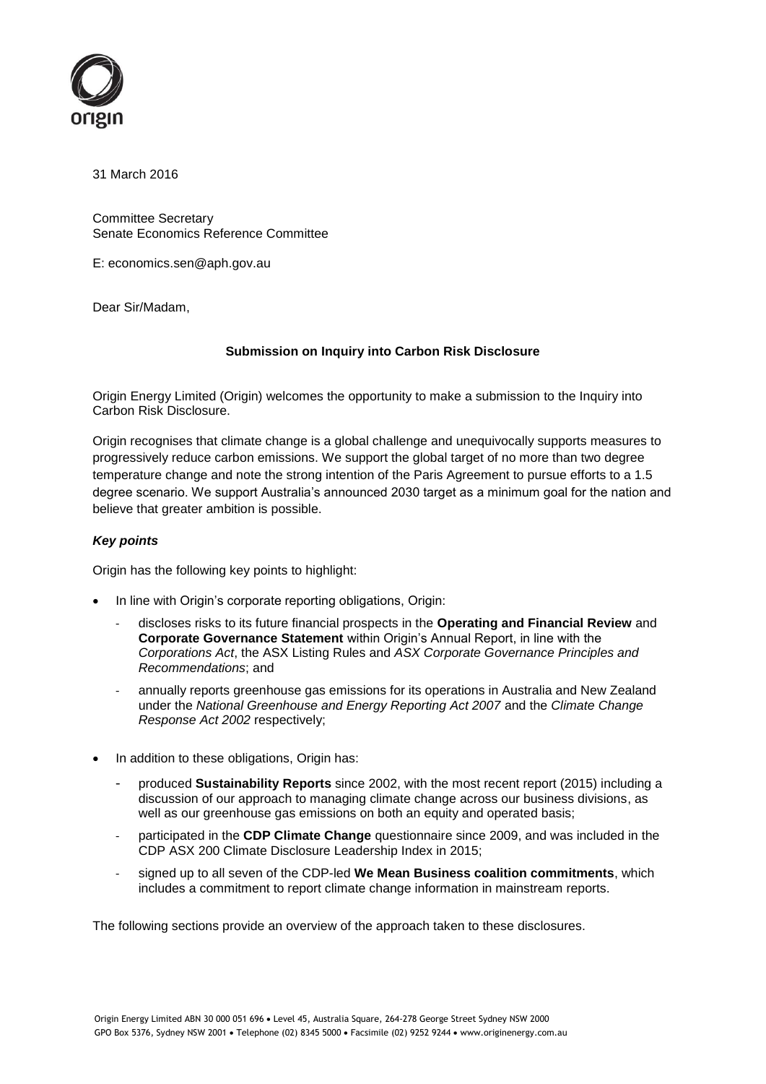

31 March 2016

Committee Secretary Senate Economics Reference Committee

E: economics.sen@aph.gov.au

Dear Sir/Madam,

# **Submission on Inquiry into Carbon Risk Disclosure**

Origin Energy Limited (Origin) welcomes the opportunity to make a submission to the Inquiry into Carbon Risk Disclosure.

Origin recognises that climate change is a global challenge and unequivocally supports measures to progressively reduce carbon emissions. We support the global target of no more than two degree temperature change and note the strong intention of the Paris Agreement to pursue efforts to a 1.5 degree scenario. We support Australia's announced 2030 target as a minimum goal for the nation and believe that greater ambition is possible.

# *Key points*

Origin has the following key points to highlight:

- In line with Origin's corporate reporting obligations, Origin:
	- discloses risks to its future financial prospects in the **Operating and Financial Review** and **Corporate Governance Statement** within Origin's Annual Report, in line with the *Corporations Act*, the ASX Listing Rules and *ASX Corporate Governance Principles and Recommendations*; and
	- annually reports greenhouse gas emissions for its operations in Australia and New Zealand under the *National Greenhouse and Energy Reporting Act 2007* and the *Climate Change Response Act 2002* respectively;
- In addition to these obligations, Origin has:
	- produced **Sustainability Reports** since 2002, with the most recent report (2015) including a discussion of our approach to managing climate change across our business divisions, as well as our greenhouse gas emissions on both an equity and operated basis;
	- participated in the **CDP Climate Change** questionnaire since 2009, and was included in the CDP ASX 200 Climate Disclosure Leadership Index in 2015;
	- signed up to all seven of the CDP-led **We Mean Business coalition commitments**, which includes a commitment to report climate change information in mainstream reports.

The following sections provide an overview of the approach taken to these disclosures.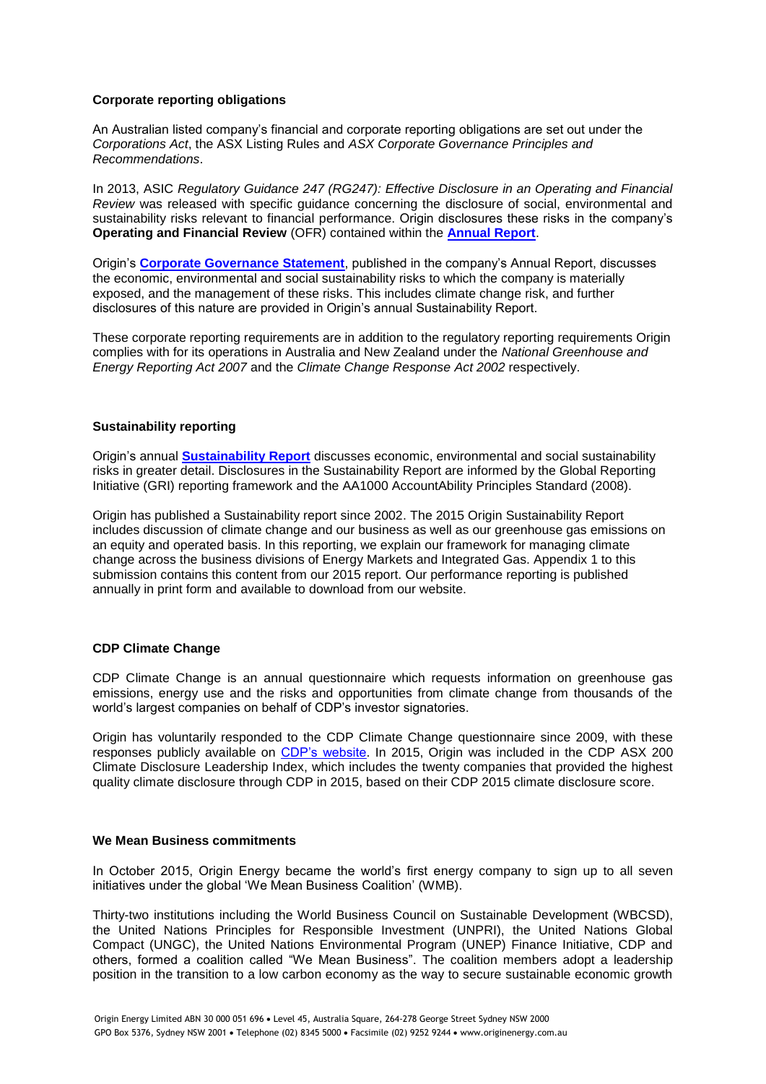# **Corporate reporting obligations**

An Australian listed company's financial and corporate reporting obligations are set out under the *Corporations Act*, the ASX Listing Rules and *ASX Corporate Governance Principles and Recommendations*.

In 2013, ASIC *Regulatory Guidance 247 (RG247): Effective Disclosure in an Operating and Financial Review* was released with specific guidance concerning the disclosure of social, environmental and sustainability risks relevant to financial performance. Origin disclosures these risks in the company's **Operating and Financial Review** (OFR) contained within the **[Annual Report](https://www.originenergy.com.au/content/dam/origin/about/investors-media/docs/annual-report-2015.pdf)**.

Origin's **[Corporate Governance Statement](https://www.originenergy.com.au/content/dam/origin/about/investors-media/docs/full-year-results-corporate-governance-statement-2015.pdf)**, published in the company's Annual Report, discusses the economic, environmental and social sustainability risks to which the company is materially exposed, and the management of these risks. This includes climate change risk, and further disclosures of this nature are provided in Origin's annual Sustainability Report.

These corporate reporting requirements are in addition to the regulatory reporting requirements Origin complies with for its operations in Australia and New Zealand under the *National Greenhouse and Energy Reporting Act 2007* and the *Climate Change Response Act 2002* respectively.

#### **Sustainability reporting**

Origin's annual **[Sustainability Report](https://www.originenergy.com.au/about/our-approach.html)** discusses economic, environmental and social sustainability risks in greater detail. Disclosures in the Sustainability Report are informed by the Global Reporting Initiative (GRI) reporting framework and the AA1000 AccountAbility Principles Standard (2008).

Origin has published a Sustainability report since 2002. The 2015 Origin Sustainability Report includes discussion of climate change and our business as well as our greenhouse gas emissions on an equity and operated basis. In this reporting, we explain our framework for managing climate change across the business divisions of Energy Markets and Integrated Gas. Appendix 1 to this submission contains this content from our 2015 report. Our performance reporting is published annually in print form and available to download from our website.

#### **CDP Climate Change**

CDP Climate Change is an annual questionnaire which requests information on greenhouse gas emissions, energy use and the risks and opportunities from climate change from thousands of the world's largest companies on behalf of CDP's investor signatories.

Origin has voluntarily responded to the CDP Climate Change questionnaire since 2009, with these responses publicly available on [CDP's website.](https://www.cdp.net/en-US/Pages/HomePage.aspx) In 2015, Origin was included in the CDP ASX 200 Climate Disclosure Leadership Index, which includes the twenty companies that provided the highest quality climate disclosure through CDP in 2015, based on their CDP 2015 climate disclosure score.

# **We Mean Business commitments**

In October 2015, Origin Energy became the world's first energy company to sign up to all seven initiatives under the global 'We Mean Business Coalition' (WMB).

Thirty-two institutions including the World Business Council on Sustainable Development (WBCSD), the United Nations Principles for Responsible Investment (UNPRI), the United Nations Global Compact (UNGC), the United Nations Environmental Program (UNEP) Finance Initiative, CDP and others, formed a coalition called "We Mean Business". The coalition members adopt a leadership position in the transition to a low carbon economy as the way to secure sustainable economic growth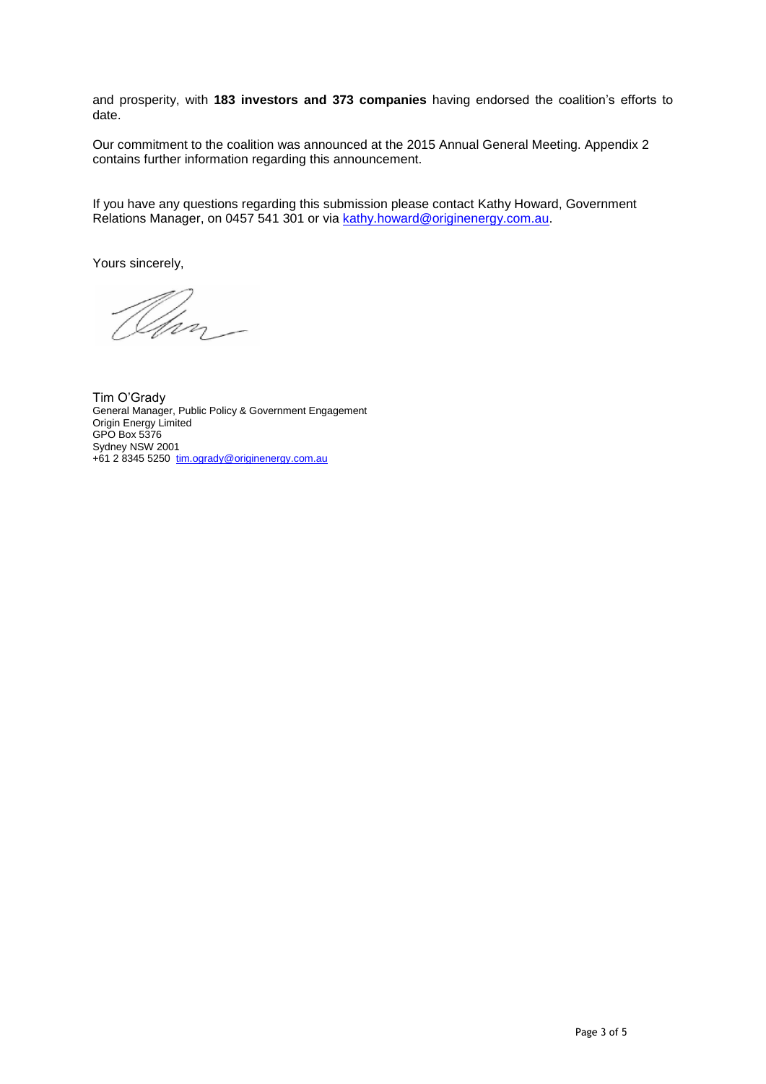and prosperity, with **183 investors and 373 companies** having endorsed the coalition's efforts to date.

Our commitment to the coalition was announced at the 2015 Annual General Meeting. Appendix 2 contains further information regarding this announcement.

If you have any questions regarding this submission please contact Kathy Howard, Government Relations Manager, on 0457 541 301 or via [kathy.howard@originenergy.com.au.](mailto:kathy.howard@originenergy.com.au)

Yours sincerely,

Um-

Tim O'Grady General Manager, Public Policy & Government Engagement Origin Energy Limited GPO Box 5376 Sydney NSW 2001 +61 2 8345 5250 [tim.ogrady@originenergy.com.au](mailto:tim.ogrady@originenergy.com.au)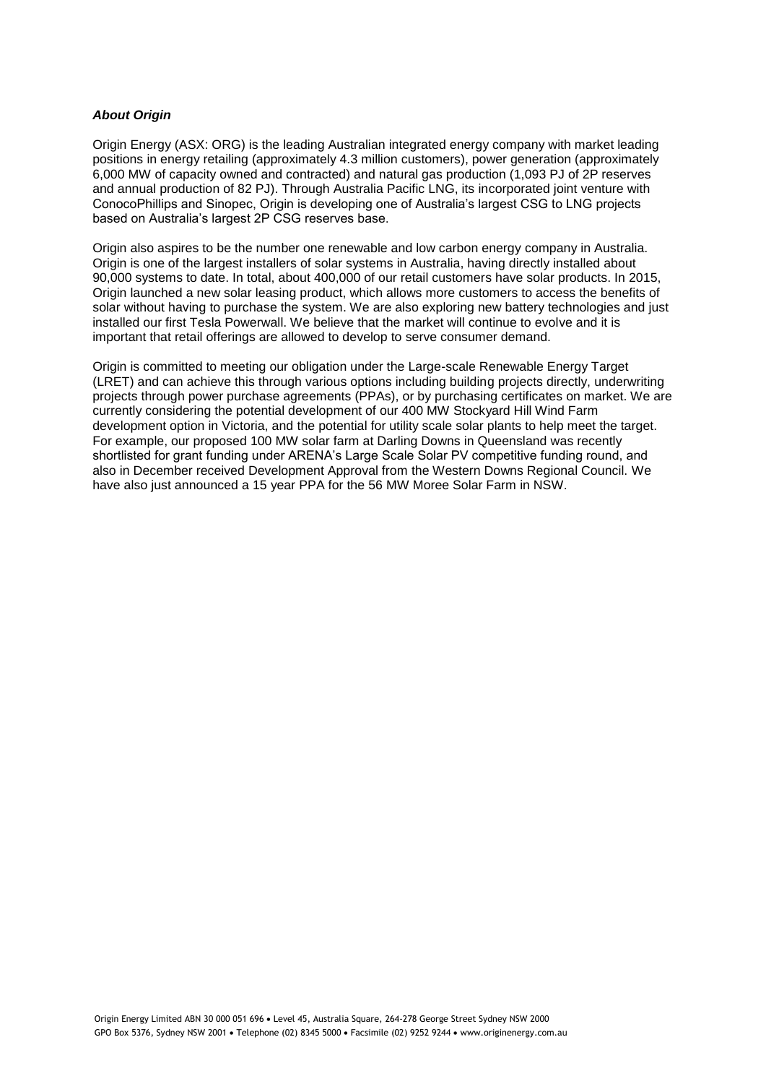# *About Origin*

Origin Energy (ASX: ORG) is the leading Australian integrated energy company with market leading positions in energy retailing (approximately 4.3 million customers), power generation (approximately 6,000 MW of capacity owned and contracted) and natural gas production (1,093 PJ of 2P reserves and annual production of 82 PJ). Through Australia Pacific LNG, its incorporated joint venture with ConocoPhillips and Sinopec, Origin is developing one of Australia's largest CSG to LNG projects based on Australia's largest 2P CSG reserves base.

Origin also aspires to be the number one renewable and low carbon energy company in Australia. Origin is one of the largest installers of solar systems in Australia, having directly installed about 90,000 systems to date. In total, about 400,000 of our retail customers have solar products. In 2015, Origin launched a new solar leasing product, which allows more customers to access the benefits of solar without having to purchase the system. We are also exploring new battery technologies and just installed our first Tesla Powerwall. We believe that the market will continue to evolve and it is important that retail offerings are allowed to develop to serve consumer demand.

Origin is committed to meeting our obligation under the Large-scale Renewable Energy Target (LRET) and can achieve this through various options including building projects directly, underwriting projects through power purchase agreements (PPAs), or by purchasing certificates on market. We are currently considering the potential development of our 400 MW Stockyard Hill Wind Farm development option in Victoria, and the potential for utility scale solar plants to help meet the target. For example, our proposed 100 MW solar farm at Darling Downs in Queensland was recently shortlisted for grant funding under ARENA's Large Scale Solar PV competitive funding round, and also in December received Development Approval from the Western Downs Regional Council. We have also just announced a 15 year PPA for the 56 MW Moree Solar Farm in NSW.